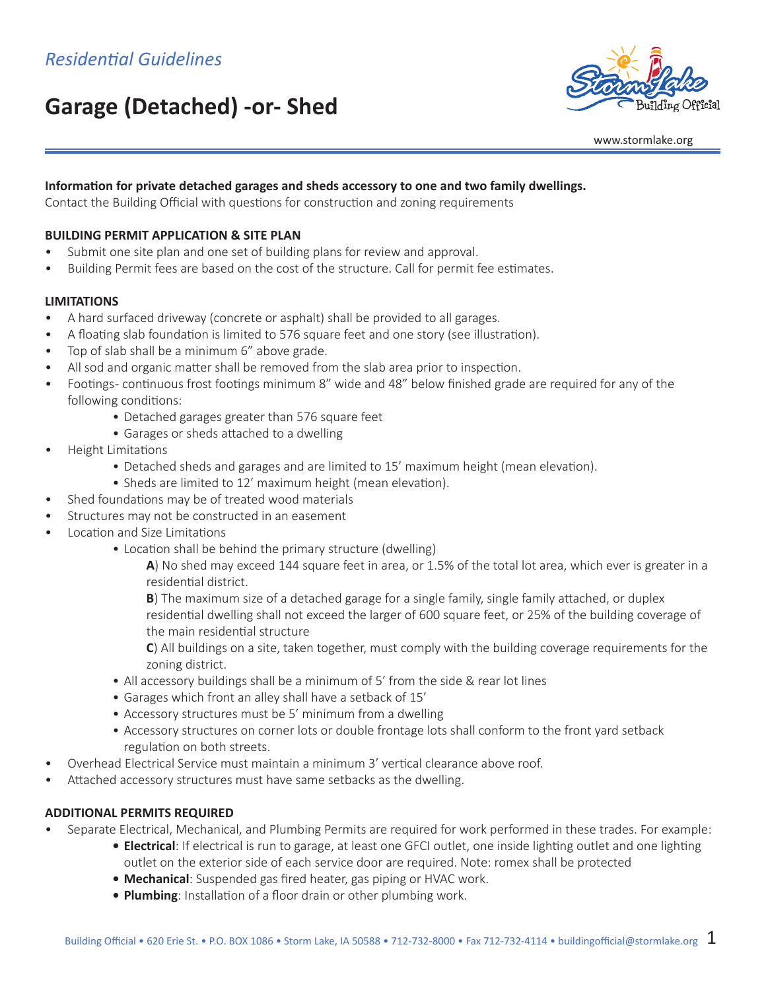# **Garage (Detached) -or- Shed**



www.stormlake.org

# **Information for private detached garages and sheds accessory to one and two family dwellings.**

Contact the Building Official with questions for construction and zoning requirements

## **BUILDING PERMIT APPLICATION & SITE PLAN**

- Submit one site plan and one set of building plans for review and approval.
- Building Permit fees are based on the cost of the structure. Call for permit fee estimates.

#### **LIMITATIONS**

- A hard surfaced driveway (concrete or asphalt) shall be provided to all garages.
- A floating slab foundation is limited to 576 square feet and one story (see illustration).
- Top of slab shall be a minimum 6" above grade.
- All sod and organic matter shall be removed from the slab area prior to inspection.
- Footings continuous frost footings minimum 8" wide and 48" below finished grade are required for any of the following conditions:
	- Detached garages greater than 576 square feet
	- Garages or sheds attached to a dwelling
- Height Limitations
	- Detached sheds and garages and are limited to 15' maximum height (mean elevation).
	- Sheds are limited to 12' maximum height (mean elevation).
- Shed foundations may be of treated wood materials
- Structures may not be constructed in an easement
- Location and Size Limitations
	- Location shall be behind the primary structure (dwelling)

**A**) No shed may exceed 144 square feet in area, or 1.5% of the total lot area, which ever is greater in a residential district.

**B**) The maximum size of a detached garage for a single family, single family attached, or duplex residential dwelling shall not exceed the larger of 600 square feet, or 25% of the building coverage of the main residential structure

**C**) All buildings on a site, taken together, must comply with the building coverage requirements for the zoning district.

- All accessory buildings shall be a minimum of 5' from the side & rear lot lines
- Garages which front an alley shall have a setback of 15'
- Accessory structures must be 5' minimum from a dwelling
- Accessory structures on corner lots or double frontage lots shall conform to the front yard setback regulation on both streets.
- Overhead Electrical Service must maintain a minimum 3' vertical clearance above roof.
- Attached accessory structures must have same setbacks as the dwelling.

### **ADDITIONAL PERMITS REQUIRED**

- Separate Electrical, Mechanical, and Plumbing Permits are required for work performed in these trades. For example:
	- **• Electrical**: If electrical is run to garage, at least one GFCI outlet, one inside lighting outlet and one lighting
	- outlet on the exterior side of each service door are required. Note: romex shall be protected
	- **• Mechanical**: Suspended gas fired heater, gas piping or HVAC work.
	- **• Plumbing**: Installation of a floor drain or other plumbing work.